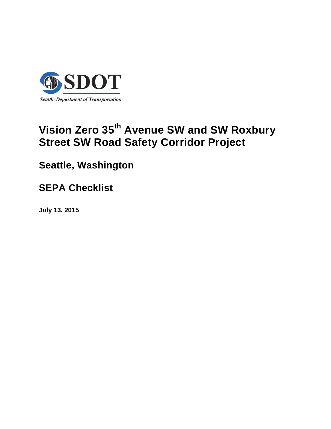

# **Vision Zero 35th Avenue SW and SW Roxbury Street SW Road Safety Corridor Project**

# **Seattle, Washington**

# **SEPA Checklist**

**July 13, 2015**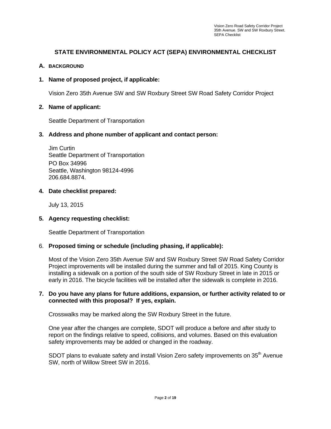# **STATE ENVIRONMENTAL POLICY ACT (SEPA) ENVIRONMENTAL CHECKLIST**

## **A. BACKGROUND**

# **1. Name of proposed project, if applicable:**

Vision Zero 35th Avenue SW and SW Roxbury Street SW Road Safety Corridor Project

## **2. Name of applicant:**

Seattle Department of Transportation

# **3. Address and phone number of applicant and contact person:**

Jim Curtin Seattle Department of Transportation PO Box 34996 Seattle, Washington 98124-4996 206.684.8874.

#### **4. Date checklist prepared:**

July 13, 2015

#### **5. Agency requesting checklist:**

Seattle Department of Transportation

#### 6. **Proposed timing or schedule (including phasing, if applicable):**

Most of the Vision Zero 35th Avenue SW and SW Roxbury Street SW Road Safety Corridor Project improvements will be installed during the summer and fall of 2015. King County is installing a sidewalk on a portion of the south side of SW Roxbury Street in late in 2015 or early in 2016. The bicycle facilities will be installed after the sidewalk is complete in 2016.

# **7. Do you have any plans for future additions, expansion, or further activity related to or connected with this proposal? If yes, explain.**

Crosswalks may be marked along the SW Roxbury Street in the future.

One year after the changes are complete, SDOT will produce a before and after study to report on the findings relative to speed, collisions, and volumes. Based on this evaluation safety improvements may be added or changed in the roadway.

SDOT plans to evaluate safety and install Vision Zero safety improvements on 35<sup>th</sup> Avenue SW, north of Willow Street SW in 2016.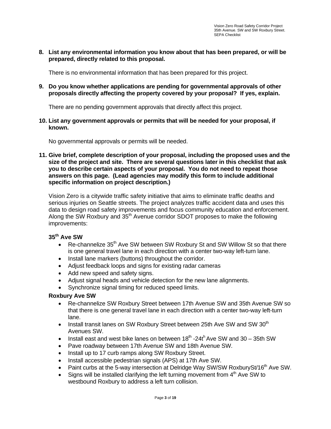**8. List any environmental information you know about that has been prepared, or will be prepared, directly related to this proposal.** 

There is no environmental information that has been prepared for this project.

**9. Do you know whether applications are pending for governmental approvals of other proposals directly affecting the property covered by your proposal? If yes, explain.** 

There are no pending government approvals that directly affect this project.

**10. List any government approvals or permits that will be needed for your proposal, if known.** 

No governmental approvals or permits will be needed.

**11. Give brief, complete description of your proposal, including the proposed uses and the size of the project and site. There are several questions later in this checklist that ask you to describe certain aspects of your proposal. You do not need to repeat those answers on this page. (Lead agencies may modify this form to include additional specific information on project description.)** 

Vision Zero is a citywide traffic safety initiative that aims to eliminate traffic deaths and serious injuries on Seattle streets. The project analyzes traffic accident data and uses this data to design road safety improvements and focus community education and enforcement. Along the SW Roxbury and  $35<sup>th</sup>$  Avenue corridor SDOT proposes to make the following improvements:

# **35th Ave SW**

- Re-channelize 35<sup>th</sup> Ave SW between SW Roxbury St and SW Willow St so that there is one general travel lane in each direction with a center two-way left-turn lane.
- Install lane markers (buttons) throughout the corridor.
- Adjust feedback loops and signs for existing radar cameras
- Add new speed and safety signs.
- Adjust signal heads and vehicle detection for the new lane alignments.
- Synchronize signal timing for reduced speed limits.

#### **Roxbury Ave SW**

- Re-channelize SW Roxbury Street between 17th Avenue SW and 35th Avenue SW so that there is one general travel lane in each direction with a center two-way left-turn lane.
- Install transit lanes on SW Roxbury Street between 25th Ave SW and SW  $30<sup>th</sup>$ Avenues SW.
- Install east and west bike lanes on between  $18<sup>th</sup>$  -24t<sup>h</sup> Ave SW and 30 35th SW
- Pave roadway between 17th Avenue SW and 18th Avenue SW.
- Install up to 17 curb ramps along SW Roxbury Street.
- Install accessible pedestrian signals (APS) at 17th Ave SW.
- Paint curbs at the 5-way intersection at Delridge Way SW/SW RoxburySt/16<sup>th</sup> Ave SW.
- Signs will be installed clarifying the left turning movement from  $4<sup>th</sup>$  Ave SW to westbound Roxbury to address a left turn collision.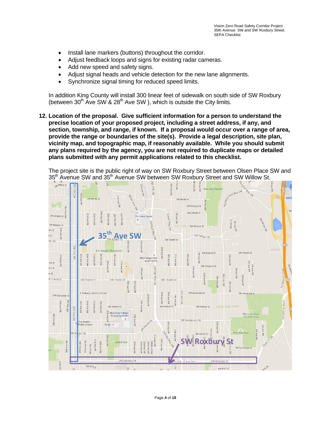- Install lane markers (buttons) throughout the corridor.
- Adjust feedback loops and signs for existing radar cameras.
- Add new speed and safety signs.
- Adjust signal heads and vehicle detection for the new lane alignments.
- Synchronize signal timing for reduced speed limits.

In addition King County will install 300 linear feet of sidewalk on south side of SW Roxbury (between  $30<sup>th</sup>$  Ave SW &  $28<sup>th</sup>$  Ave SW ), which is outside the City limits.

**12. Location of the proposal. Give sufficient information for a person to understand the precise location of your proposed project, including a street address, if any, and section, township, and range, if known. If a proposal would occur over a range of area, provide the range or boundaries of the site(s). Provide a legal description, site plan, vicinity map, and topographic map, if reasonably available. While you should submit any plans required by the agency, you are not required to duplicate maps or detailed plans submitted with any permit applications related to this checklist.** 

The project site is the public right of way on SW Roxbury Street between Olsen Place SW and 35<sup>th</sup> Avenue SW and 35<sup>th</sup> Avenue SW between SW Roxbury Street and SW Willow St.

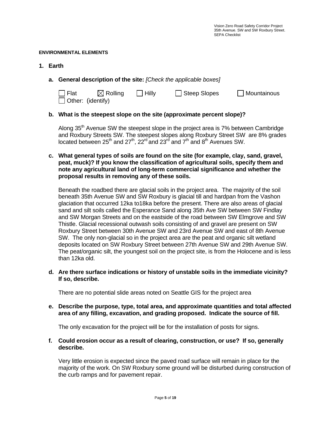#### **ENVIRONMENTAL ELEMENTS**

- **1. Earth** 
	- **a. General description of the site:** *[Check the applicable boxes]*

| $\Box$ Flat              | $\boxtimes$ Rolling | $\Box$ Hilly | $\Box$ Steep Slopes | Mountainous |
|--------------------------|---------------------|--------------|---------------------|-------------|
| $\Box$ Other: (identify) |                     |              |                     |             |

#### **b. What is the steepest slope on the site (approximate percent slope)?**

| Along 35 <sup>th</sup> Avenue SW the steepest slope in the project area is 7% between Cambridge                                                   |  |
|---------------------------------------------------------------------------------------------------------------------------------------------------|--|
| and Roxbury Streets SW. The steepest slopes along Roxbury Street SW are 8% grades                                                                 |  |
| located between 25 <sup>th</sup> and 27 <sup>th</sup> , 22 <sup>rd</sup> and 23 <sup>rd</sup> and 7 <sup>th</sup> and 8 <sup>th</sup> Avenues SW. |  |

**c. What general types of soils are found on the site (for example, clay, sand, gravel, peat, muck)? If you know the classification of agricultural soils, specify them and note any agricultural land of long-term commercial significance and whether the proposal results in removing any of these soils.** 

Beneath the roadbed there are glacial soils in the project area. The majority of the soil beneath 35th Avenue SW and SW Roxbury is glacial till and hardpan from the Vashon glaciation that occurred 12ka to18ka before the present. There are also areas of glacial sand and silt soils called the Esperance Sand along 35th Ave SW between SW Findlay and SW Morgan Streets and on the eastside of the road between SW Elmgrove and SW Thistle. Glacial recessional outwash soils consisting of and gravel are present on SW Roxbury Street between 30th Avenue SW and 23rd Avenue SW and east of 8th Avenue SW. The only non-glacial so in the project area are the peat and organic silt wetland deposits located on SW Roxbury Street between 27th Avenue SW and 29th Avenue SW. The peat/organic silt, the youngest soil on the project site, is from the Holocene and is less than 12ka old.

**d. Are there surface indications or history of unstable soils in the immediate vicinity? If so, describe.** 

There are no potential slide areas noted on Seattle GIS for the project area

**e. Describe the purpose, type, total area, and approximate quantities and total affected area of any filling, excavation, and grading proposed. Indicate the source of fill.** 

The only excavation for the project will be for the installation of posts for signs.

**f. Could erosion occur as a result of clearing, construction, or use? If so, generally describe.** 

Very little erosion is expected since the paved road surface will remain in place for the majority of the work. On SW Roxbury some ground will be disturbed during construction of the curb ramps and for pavement repair.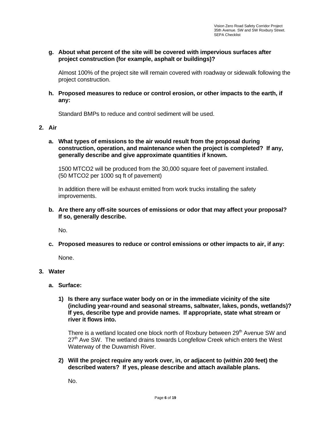**g. About what percent of the site will be covered with impervious surfaces after project construction (for example, asphalt or buildings)?** 

Almost 100% of the project site will remain covered with roadway or sidewalk following the project construction.

**h. Proposed measures to reduce or control erosion, or other impacts to the earth, if any:** 

Standard BMPs to reduce and control sediment will be used.

- **2. Air** 
	- **a. What types of emissions to the air would result from the proposal during construction, operation, and maintenance when the project is completed? If any, generally describe and give approximate quantities if known.**

1500 MTCO2 will be produced from the 30,000 square feet of pavement installed. (50 MTCO2 per 1000 sq ft of pavement)

In addition there will be exhaust emitted from work trucks installing the safety improvements.

**b. Are there any off-site sources of emissions or odor that may affect your proposal? If so, generally describe.** 

No.

**c. Proposed measures to reduce or control emissions or other impacts to air, if any:** 

None.

- **3. Water** 
	- **a. Surface:** 
		- **1) Is there any surface water body on or in the immediate vicinity of the site (including year-round and seasonal streams, saltwater, lakes, ponds, wetlands)? If yes, describe type and provide names. If appropriate, state what stream or river it flows into.**

There is a wetland located one block north of Roxbury between 29<sup>th</sup> Avenue SW and  $27<sup>th</sup>$  Ave SW. The wetland drains towards Longfellow Creek which enters the West Waterway of the Duwamish River.

**2) Will the project require any work over, in, or adjacent to (within 200 feet) the described waters? If yes, please describe and attach available plans.** 

No.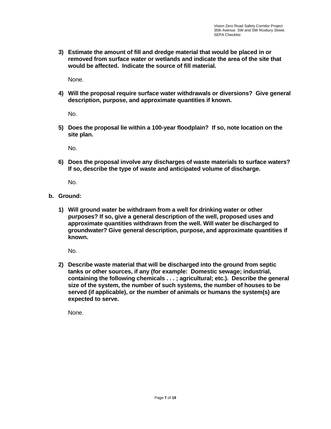**3) Estimate the amount of fill and dredge material that would be placed in or removed from surface water or wetlands and indicate the area of the site that would be affected. Indicate the source of fill material.** 

None.

**4) Will the proposal require surface water withdrawals or diversions? Give general description, purpose, and approximate quantities if known.** 

No.

**5) Does the proposal lie within a 100-year floodplain? If so, note location on the site plan.** 

No.

**6) Does the proposal involve any discharges of waste materials to surface waters? If so, describe the type of waste and anticipated volume of discharge.** 

No.

- **b. Ground:** 
	- **1) Will ground water be withdrawn from a well for drinking water or other purposes? If so, give a general description of the well, proposed uses and approximate quantities withdrawn from the well. Will water be discharged to groundwater? Give general description, purpose, and approximate quantities if known.**

No.

**2) Describe waste material that will be discharged into the ground from septic tanks or other sources, if any (for example: Domestic sewage; industrial, containing the following chemicals . . . ; agricultural; etc.). Describe the general size of the system, the number of such systems, the number of houses to be served (if applicable), or the number of animals or humans the system(s) are expected to serve.**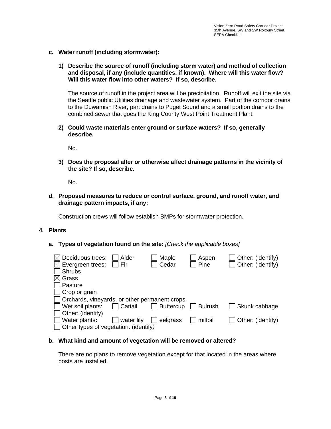- **c. Water runoff (including stormwater):** 
	- **1) Describe the source of runoff (including storm water) and method of collection and disposal, if any (include quantities, if known). Where will this water flow? Will this water flow into other waters? If so, describe.**

The source of runoff in the project area will be precipitation. Runoff will exit the site via the Seattle public Utilities drainage and wastewater system. Part of the corridor drains to the Duwamish River, part drains to Puget Sound and a small portion drains to the combined sewer that goes the King County West Point Treatment Plant.

**2) Could waste materials enter ground or surface waters? If so, generally describe.** 

No.

**3) Does the proposal alter or otherwise affect drainage patterns in the vicinity of the site? If so, describe.** 

No.

**d. Proposed measures to reduce or control surface, ground, and runoff water, and drainage pattern impacts, if any:** 

Construction crews will follow establish BMPs for stormwater protection.

#### **4. Plants**

**a. Types of vegetation found on the site:** *[Check the applicable boxes]*

| $\boxtimes$ Deciduous trees:                  | Alder      | Maple            | Aspen          | Other: (identify) |
|-----------------------------------------------|------------|------------------|----------------|-------------------|
| $\boxtimes$ Evergreen trees:                  | l Fir      | Cedar            | Pine           | Other: (identify) |
| <b>Shrubs</b>                                 |            |                  |                |                   |
| $\boxtimes$ Grass                             |            |                  |                |                   |
| Pasture                                       |            |                  |                |                   |
| $\Box$ Crop or grain                          |            |                  |                |                   |
| Orchards, vineyards, or other permanent crops |            |                  |                |                   |
| Wet soil plants:                              | Cattail    | <b>Buttercup</b> | <b>Bulrush</b> | Skunk cabbage     |
| Other: (identify)                             |            |                  |                |                   |
| Water plants:                                 | water lily | eelgrass         | milfoil        | Other: (identify) |
| $\Box$ Other types of vegetation: (identify)  |            |                  |                |                   |

#### **b. What kind and amount of vegetation will be removed or altered?**

There are no plans to remove vegetation except for that located in the areas where posts are installed.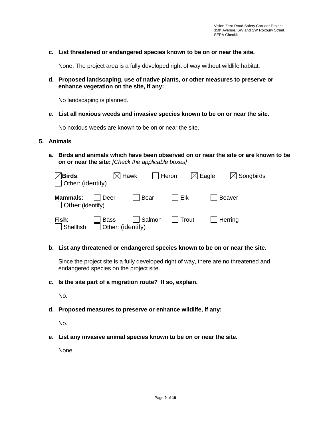**c. List threatened or endangered species known to be on or near the site.** 

None, The project area is a fully developed right of way without wildlife habitat.

**d. Proposed landscaping, use of native plants, or other measures to preserve or enhance vegetation on the site, if any:** 

No landscaping is planned.

**e. List all noxious weeds and invasive species known to be on or near the site.** 

No noxious weeds are known to be on or near the site.

#### **5. Animals**

**a. Birds and animals which have been observed on or near the site or are known to be on or near the site:** *[Check the applicable boxes]*

| $\boxtimes$ Birds:<br>$\Box$ Other: (identify) | $\boxtimes$ Hawk            |        | $\boxtimes$ Eagle<br>Heron | $\boxtimes$ Songbirds |
|------------------------------------------------|-----------------------------|--------|----------------------------|-----------------------|
| <b>Mammals:</b><br>$\Box$ Other: (identify)    | l Deer                      | Bear   | $\blacksquare$ Elk         | <b>Beaver</b>         |
| Fish:<br>$\vert$ Shellfish                     | l Bass<br>Other: (identify) | Salmon | $\vert \vert$ Trout        | Herring               |

#### **b. List any threatened or endangered species known to be on or near the site.**

Since the project site is a fully developed right of way, there are no threatened and endangered species on the project site.

#### **c. Is the site part of a migration route? If so, explain.**

No.

#### **d. Proposed measures to preserve or enhance wildlife, if any:**

No.

**e. List any invasive animal species known to be on or near the site.**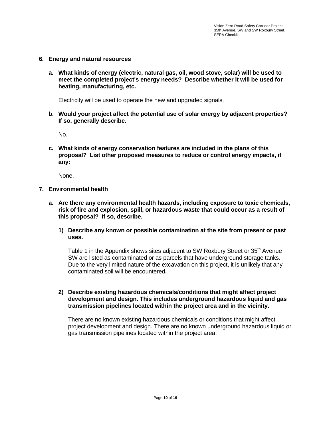- **6. Energy and natural resources** 
	- **a. What kinds of energy (electric, natural gas, oil, wood stove, solar) will be used to meet the completed project's energy needs? Describe whether it will be used for heating, manufacturing, etc.**

Electricity will be used to operate the new and upgraded signals.

**b. Would your project affect the potential use of solar energy by adjacent properties? If so, generally describe.** 

No.

**c. What kinds of energy conservation features are included in the plans of this proposal? List other proposed measures to reduce or control energy impacts, if any:** 

None.

- **7. Environmental health** 
	- **a. Are there any environmental health hazards, including exposure to toxic chemicals, risk of fire and explosion, spill, or hazardous waste that could occur as a result of this proposal? If so, describe.** 
		- **1) Describe any known or possible contamination at the site from present or past uses.**

Table 1 in the Appendix shows sites adjacent to SW Roxbury Street or 35<sup>th</sup> Avenue SW are listed as contaminated or as parcels that have underground storage tanks. Due to the very limited nature of the excavation on this project, it is unlikely that any contaminated soil will be encountered**.** 

#### **2) Describe existing hazardous chemicals/conditions that might affect project development and design. This includes underground hazardous liquid and gas transmission pipelines located within the project area and in the vicinity.**

There are no known existing hazardous chemicals or conditions that might affect project development and design. There are no known underground hazardous liquid or gas transmission pipelines located within the project area.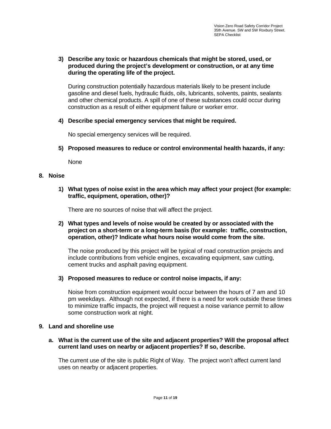## **3) Describe any toxic or hazardous chemicals that might be stored, used, or produced during the project's development or construction, or at any time during the operating life of the project.**

During construction potentially hazardous materials likely to be present include gasoline and diesel fuels, hydraulic fluids, oils, lubricants, solvents, paints, sealants and other chemical products. A spill of one of these substances could occur during construction as a result of either equipment failure or worker error.

#### **4) Describe special emergency services that might be required.**

No special emergency services will be required.

**5) Proposed measures to reduce or control environmental health hazards, if any:** 

None

#### **8. Noise**

**1) What types of noise exist in the area which may affect your project (for example: traffic, equipment, operation, other)?** 

There are no sources of noise that will affect the project.

# **2) What types and levels of noise would be created by or associated with the project on a short-term or a long-term basis (for example: traffic, construction, operation, other)? Indicate what hours noise would come from the site.**

The noise produced by this project will be typical of road construction projects and include contributions from vehicle engines, excavating equipment, saw cutting, cement trucks and asphalt paving equipment.

**3) Proposed measures to reduce or control noise impacts, if any:** 

Noise from construction equipment would occur between the hours of 7 am and 10 pm weekdays. Although not expected, if there is a need for work outside these times to minimize traffic impacts, the project will request a noise variance permit to allow some construction work at night.

#### **9. Land and shoreline use**

#### **a. What is the current use of the site and adjacent properties? Will the proposal affect current land uses on nearby or adjacent properties? If so, describe.**

The current use of the site is public Right of Way. The project won't affect current land uses on nearby or adjacent properties.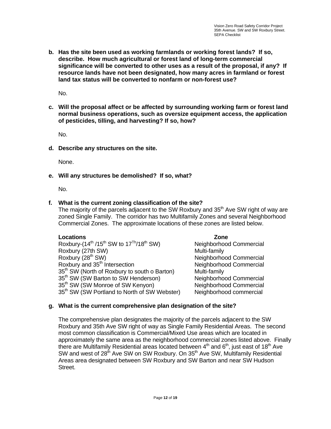**b. Has the site been used as working farmlands or working forest lands? If so, describe. How much agricultural or forest land of long-term commercial significance will be converted to other uses as a result of the proposal, if any? If resource lands have not been designated, how many acres in farmland or forest land tax status will be converted to nonfarm or non-forest use?** 

No.

**c. Will the proposal affect or be affected by surrounding working farm or forest land normal business operations, such as oversize equipment access, the application of pesticides, tilling, and harvesting? If so, how?** 

No.

**d. Describe any structures on the site.** 

None.

**e. Will any structures be demolished? If so, what?** 

No.

#### **f. What is the current zoning classification of the site?**

The majority of the parcels adjacent to the SW Roxbury and 35<sup>th</sup> Ave SW right of way are zoned Single Family. The corridor has two Multifamily Zones and several Neighborhood Commercial Zones. The approximate locations of these zones are listed below.

#### **Locations Zone**

Roxbury-(14<sup>th</sup> /15<sup>th</sup> SW to 17<sup>Th</sup>/18<sup>th</sup> SW) Neighborhood Commercial Roxbury (27th SW) and the control of the Multi-family Roxbury (28<sup>th</sup> SW) Neighborhood Commercial Roxbury and 35<sup>th</sup> Intersection **Neighborhood Commercial** 35<sup>th</sup> SW (North of Roxbury to south o Barton) Multi-family<br>35<sup>th</sup> SW (SW Barton to SW Henderson) Neighborhood Commercial 35<sup>th</sup> SW (SW Barton to SW Henderson) 35<sup>th</sup> SW (SW Monroe of SW Kenyon) Neighborhood Commercial 35<sup>th</sup> SW (SW Portland to North of SW Webster) Neighborhood commercial

#### **g. What is the current comprehensive plan designation of the site?**

The comprehensive plan designates the majority of the parcels adjacent to the SW Roxbury and 35th Ave SW right of way as Single Family Residential Areas. The second most common classification is Commercial/Mixed Use areas which are located in approximately the same area as the neighborhood commercial zones listed above. Finally there are Multifamily Residential areas located between  $4<sup>th</sup>$  and  $6<sup>th</sup>$ , just east of 18<sup>th</sup> Ave SW and west of  $28<sup>th</sup>$  Ave SW on SW Roxbury. On  $35<sup>th</sup>$  Ave SW, Multifamily Residential Areas area designated between SW Roxbury and SW Barton and near SW Hudson Street.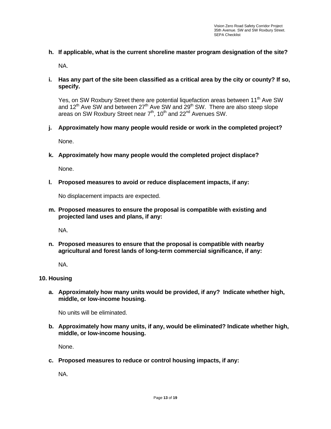## **h. If applicable, what is the current shoreline master program designation of the site?**

NA.

# **i. Has any part of the site been classified as a critical area by the city or county? If so, specify.**

Yes, on SW Roxbury Street there are potential liquefaction areas between 11<sup>th</sup> Ave SW and  $12<sup>th</sup>$  Ave SW and between  $27<sup>th</sup>$  Ave SW and  $29<sup>th</sup>$  SW. There are also steep slope areas on SW Roxbury Street near  $7<sup>th</sup>$ , 10<sup>th</sup> and 22<sup>nd</sup> Avenues SW.

#### **j. Approximately how many people would reside or work in the completed project?**

None.

**k. Approximately how many people would the completed project displace?** 

None.

**l. Proposed measures to avoid or reduce displacement impacts, if any:** 

No displacement impacts are expected.

**m. Proposed measures to ensure the proposal is compatible with existing and projected land uses and plans, if any:** 

NA.

**n. Proposed measures to ensure that the proposal is compatible with nearby agricultural and forest lands of long-term commercial significance, if any:** 

NA.

#### **10. Housing**

**a. Approximately how many units would be provided, if any? Indicate whether high, middle, or low-income housing.** 

No units will be eliminated.

**b. Approximately how many units, if any, would be eliminated? Indicate whether high, middle, or low-income housing.** 

None.

**c. Proposed measures to reduce or control housing impacts, if any:** 

NA.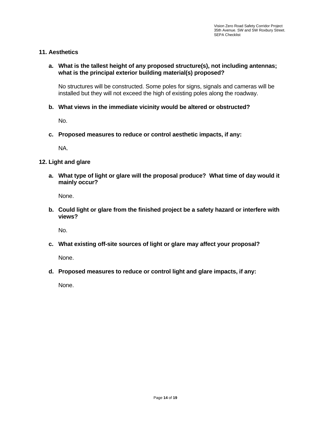# **11. Aesthetics**

**a. What is the tallest height of any proposed structure(s), not including antennas; what is the principal exterior building material(s) proposed?** 

No structures will be constructed. Some poles for signs, signals and cameras will be installed but they will not exceed the high of existing poles along the roadway.

**b. What views in the immediate vicinity would be altered or obstructed?** 

No.

**c. Proposed measures to reduce or control aesthetic impacts, if any:** 

NA.

# **12. Light and glare**

**a. What type of light or glare will the proposal produce? What time of day would it mainly occur?** 

None.

**b. Could light or glare from the finished project be a safety hazard or interfere with views?** 

No.

**c. What existing off-site sources of light or glare may affect your proposal?** 

None.

**d. Proposed measures to reduce or control light and glare impacts, if any:**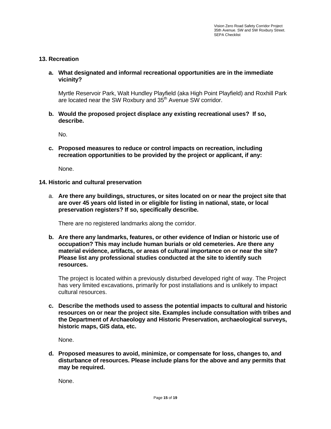## **13. Recreation**

**a. What designated and informal recreational opportunities are in the immediate vicinity?** 

Myrtle Reservoir Park, Walt Hundley Playfield (aka High Point Playfield) and Roxhill Park are located near the SW Roxbury and 35<sup>th</sup> Avenue SW corridor.

**b. Would the proposed project displace any existing recreational uses? If so, describe.** 

No.

**c. Proposed measures to reduce or control impacts on recreation, including recreation opportunities to be provided by the project or applicant, if any:** 

None.

#### **14. Historic and cultural preservation**

a. **Are there any buildings, structures, or sites located on or near the project site that are over 45 years old listed in or eligible for listing in national, state, or local preservation registers? If so, specifically describe.**

There are no registered landmarks along the corridor.

**b. Are there any landmarks, features, or other evidence of Indian or historic use of occupation? This may include human burials or old cemeteries. Are there any material evidence, artifacts, or areas of cultural importance on or near the site? Please list any professional studies conducted at the site to identify such resources.** 

The project is located within a previously disturbed developed right of way. The Project has very limited excavations, primarily for post installations and is unlikely to impact cultural resources.

**c. Describe the methods used to assess the potential impacts to cultural and historic resources on or near the project site. Examples include consultation with tribes and the Department of Archaeology and Historic Preservation, archaeological surveys, historic maps, GIS data, etc.** 

None.

**d. Proposed measures to avoid, minimize, or compensate for loss, changes to, and disturbance of resources. Please include plans for the above and any permits that may be required.**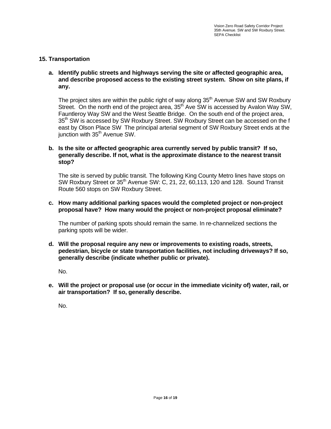## **15. Transportation**

**a. Identify public streets and highways serving the site or affected geographic area, and describe proposed access to the existing street system. Show on site plans, if any.** 

The project sites are within the public right of way along  $35<sup>th</sup>$  Avenue SW and SW Roxbury Street. On the north end of the project area, 35<sup>th</sup> Ave SW is accessed by Avalon Way SW, Fauntleroy Way SW and the West Seattle Bridge. On the south end of the project area, 35<sup>th</sup> SW is accessed by SW Roxbury Street. SW Roxbury Street can be accessed on the f east by Olson Place SW The principal arterial segment of SW Roxbury Street ends at the junction with 35<sup>th</sup> Avenue SW.

#### **b. Is the site or affected geographic area currently served by public transit? If so, generally describe. If not, what is the approximate distance to the nearest transit stop?**

The site is served by public transit. The following King County Metro lines have stops on SW Roxbury Street or 35<sup>th</sup> Avenue SW: C, 21, 22, 60, 113, 120 and 128. Sound Transit Route 560 stops on SW Roxbury Street.

# **c. How many additional parking spaces would the completed project or non-project proposal have? How many would the project or non-project proposal eliminate?**

The number of parking spots should remain the same. In re-channelized sections the parking spots will be wider.

## **d. Will the proposal require any new or improvements to existing roads, streets, pedestrian, bicycle or state transportation facilities, not including driveways? If so, generally describe (indicate whether public or private).**

No.

**e. Will the project or proposal use (or occur in the immediate vicinity of) water, rail, or air transportation? If so, generally describe.** 

No.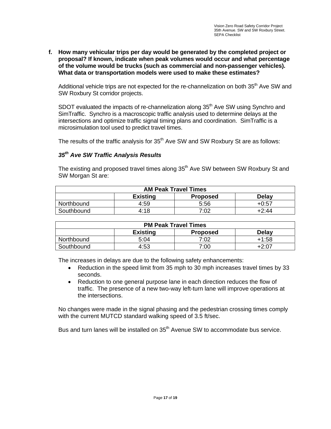**f. How many vehicular trips per day would be generated by the completed project or proposal? If known, indicate when peak volumes would occur and what percentage of the volume would be trucks (such as commercial and non-passenger vehicles). What data or transportation models were used to make these estimates?** 

Additional vehicle trips are not expected for the re-channelization on both 35<sup>th</sup> Ave SW and SW Roxbury St corridor projects.

SDOT evaluated the impacts of re-channelization along  $35<sup>th</sup>$  Ave SW using Synchro and SimTraffic. Synchro is a macroscopic traffic analysis used to determine delays at the intersections and optimize traffic signal timing plans and coordination. SimTraffic is a microsimulation tool used to predict travel times.

The results of the traffic analysis for  $35<sup>th</sup>$  Ave SW and SW Roxbury St are as follows:

# *35th Ave SW Traffic Analysis Results*

The existing and proposed travel times along 35<sup>th</sup> Ave SW between SW Roxbury St and SW Morgan St are:

| <b>AM Peak Travel Times</b>                 |      |         |         |  |  |
|---------------------------------------------|------|---------|---------|--|--|
| <b>Existing</b><br>Delay<br><b>Proposed</b> |      |         |         |  |  |
| Northbound                                  | 4:59 | 5:56    | $+0:57$ |  |  |
| Southbound                                  | 7:02 | $+2.44$ |         |  |  |

| <b>PM Peak Travel Times</b>                 |      |      |         |  |  |
|---------------------------------------------|------|------|---------|--|--|
| <b>Existing</b><br>Delay<br><b>Proposed</b> |      |      |         |  |  |
| <b>Northbound</b>                           | 5:04 | 7:02 | +1:58   |  |  |
| Southbound                                  | 4:53 | 7:00 | $+2.07$ |  |  |

The increases in delays are due to the following safety enhancements:

- Reduction in the speed limit from 35 mph to 30 mph increases travel times by 33 seconds.
- Reduction to one general purpose lane in each direction reduces the flow of traffic. The presence of a new two-way left-turn lane will improve operations at the intersections.

No changes were made in the signal phasing and the pedestrian crossing times comply with the current MUTCD standard walking speed of 3.5 ft/sec.

Bus and turn lanes will be installed on  $35<sup>th</sup>$  Avenue SW to accommodate bus service.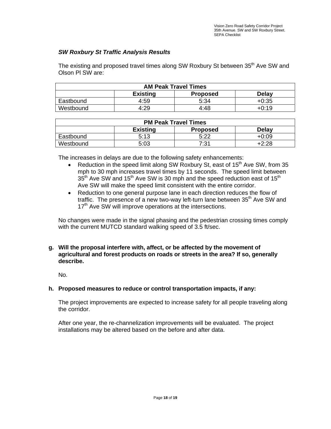# *SW Roxbury St Traffic Analysis Results*

The existing and proposed travel times along SW Roxbury St between 35<sup>th</sup> Ave SW and Olson Pl SW are:

| <b>AM Peak Travel Times</b>                 |      |      |         |  |  |  |
|---------------------------------------------|------|------|---------|--|--|--|
| <b>Existing</b><br>Delay<br><b>Proposed</b> |      |      |         |  |  |  |
| Eastbound                                   | 4:59 | 5:34 | $+0:35$ |  |  |  |
| Westbound                                   | 4:29 | 4:48 | $+0.19$ |  |  |  |

| <b>PM Peak Travel Times</b>                 |      |      |       |  |  |
|---------------------------------------------|------|------|-------|--|--|
| <b>Existing</b><br>Delav<br><b>Proposed</b> |      |      |       |  |  |
| Eastbound                                   | 5:13 | 5:22 | +0:09 |  |  |
| Westbound                                   | 5:03 | 7:31 | +2:28 |  |  |

The increases in delays are due to the following safety enhancements:

- Reduction in the speed limit along SW Roxbury St, east of 15<sup>th</sup> Ave SW, from 35 mph to 30 mph increases travel times by 11 seconds. The speed limit between  $35<sup>th</sup>$  Ave SW and 15<sup>th</sup> Ave SW is 30 mph and the speed reduction east of 15<sup>th</sup> Ave SW will make the speed limit consistent with the entire corridor.
- Reduction to one general purpose lane in each direction reduces the flow of traffic. The presence of a new two-way left-turn lane between 35<sup>th</sup> Ave SW and 17<sup>th</sup> Ave SW will improve operations at the intersections.

No changes were made in the signal phasing and the pedestrian crossing times comply with the current MUTCD standard walking speed of 3.5 ft/sec.

## **g. Will the proposal interfere with, affect, or be affected by the movement of agricultural and forest products on roads or streets in the area? If so, generally describe.**

No.

# **h. Proposed measures to reduce or control transportation impacts, if any:**

The project improvements are expected to increase safety for all people traveling along the corridor.

After one year, the re-channelization improvements will be evaluated. The project installations may be altered based on the before and after data.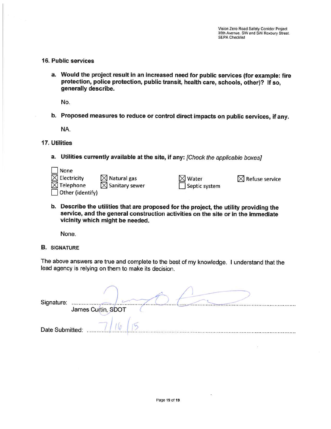#### 16. Public services

a. Would the project result in an increased need for public services (for example: fire protection, police protection, public transit, health care, schools, other)? If so, generally describe.

No.

b. Proposed measures to reduce or control direct impacts on public services, if any.

NA.

17. Utilities

 $\overline{\phantom{0}}$ 

a. Utilities currently available at the site, if any: [Check the applicable boxes]

| None                    |                            |                   |                            |
|-------------------------|----------------------------|-------------------|----------------------------|
| $\boxtimes$ Electricity | $\boxtimes$ Natural gas    | $\boxtimes$ Water | $\boxtimes$ Refuse service |
| $\boxtimes$ Telephone   | $\boxtimes$ Sanitary sewer | Septic system     |                            |
| $\Box$ Other (identify) |                            |                   |                            |

b. Describe the utilities that are proposed for the project, the utility providing the service, and the general construction activities on the site or in the immediate vicinity which might be needed.

None.

**B. SIGNATURE** 

The above answers are true and complete to the best of my knowledge. I understand that the lead agency is relying on them to make its decision.

| Signature:      |                    |  |
|-----------------|--------------------|--|
|                 | James Curtin, SDOT |  |
| Date Submitted: |                    |  |

 $\sigma_{\rm c}$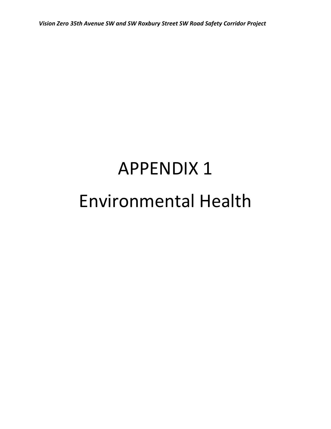*Vision Zero 35th Avenue SW and SW Roxbury Street SW Road Safety Corridor Project* 

# APPENDIX 1 Environmental Health